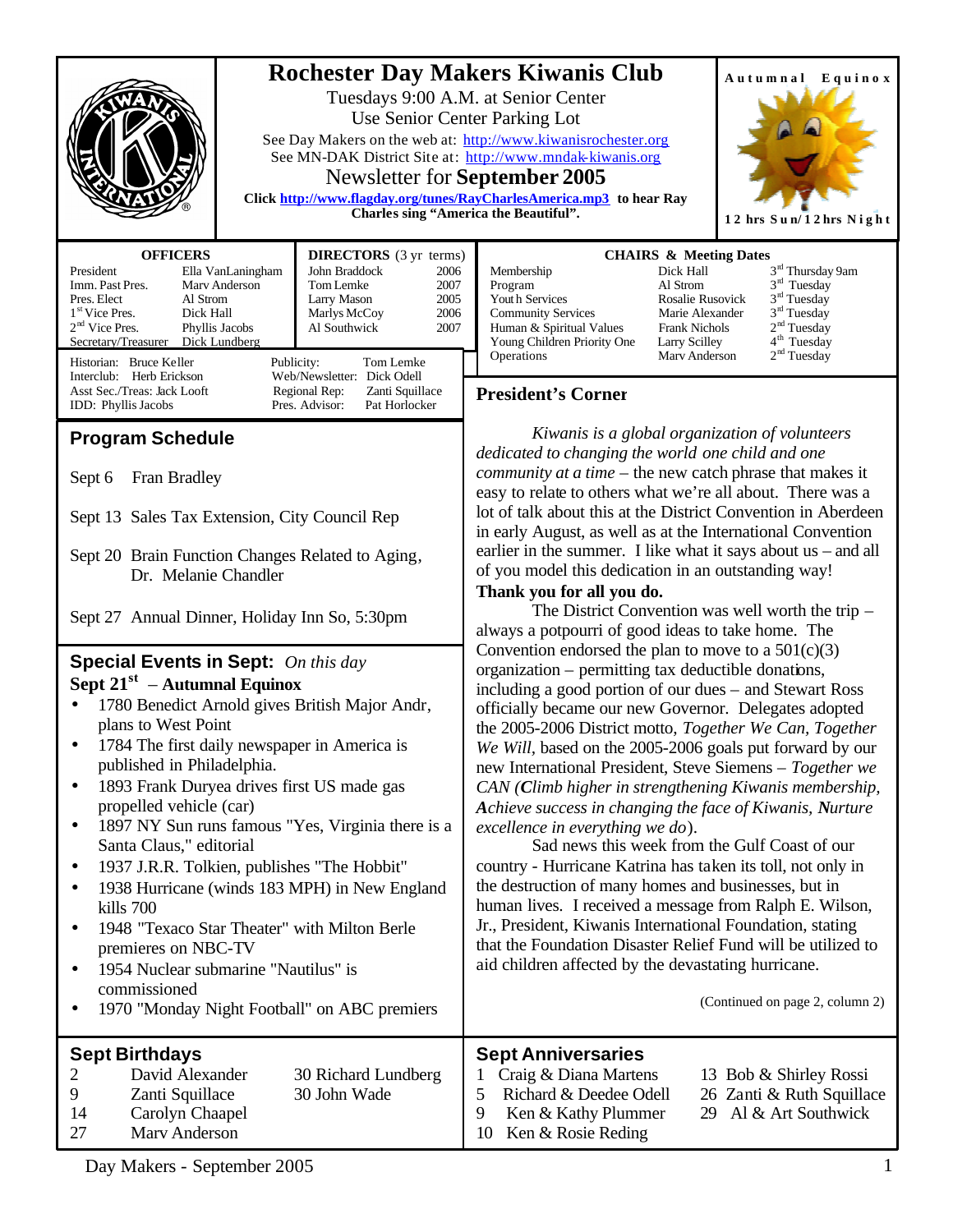|                                                                                                                                                                                                                                                                                                                                                                                                                                                                                                                                                                                                                                                                                                                                                                                                                                                                                                                                                                                                                                          | <b>Rochester Day Makers Kiwanis Club</b><br>Autumnal Equinox<br>Tuesdays 9:00 A.M. at Senior Center<br>Use Senior Center Parking Lot<br>See Day Makers on the web at: http://www.kiwanisrochester.org<br>See MN-DAK District Site at: http://www.mndak-kiwanis.org<br>Newsletter for <b>September 2005</b><br>Click http://www.flagday.org/tunes/RayCharlesAmerica.mp3 to hear Ray<br><b>Charles sing "America the Beautiful".</b><br>12 hrs Sun/12 hrs Night                                                                                                                                                                                                                                                                                                                                                                                                                                                                                                                                                                                                                                                                                                                                                                                                                                                                                                                                                                                                                                                                                                                                                                                                                     |
|------------------------------------------------------------------------------------------------------------------------------------------------------------------------------------------------------------------------------------------------------------------------------------------------------------------------------------------------------------------------------------------------------------------------------------------------------------------------------------------------------------------------------------------------------------------------------------------------------------------------------------------------------------------------------------------------------------------------------------------------------------------------------------------------------------------------------------------------------------------------------------------------------------------------------------------------------------------------------------------------------------------------------------------|-----------------------------------------------------------------------------------------------------------------------------------------------------------------------------------------------------------------------------------------------------------------------------------------------------------------------------------------------------------------------------------------------------------------------------------------------------------------------------------------------------------------------------------------------------------------------------------------------------------------------------------------------------------------------------------------------------------------------------------------------------------------------------------------------------------------------------------------------------------------------------------------------------------------------------------------------------------------------------------------------------------------------------------------------------------------------------------------------------------------------------------------------------------------------------------------------------------------------------------------------------------------------------------------------------------------------------------------------------------------------------------------------------------------------------------------------------------------------------------------------------------------------------------------------------------------------------------------------------------------------------------------------------------------------------------|
| <b>OFFICERS</b><br><b>DIRECTORS</b> (3 yr terms)<br>President<br>Ella VanLaningham<br>John Braddock<br>2006<br>Imm. Past Pres.<br>Mary Anderson<br>Tom Lemke<br>2007<br>Pres. Elect<br>Al Strom<br>Larry Mason<br>2005<br>1 <sup>st</sup> Vice Pres.<br>2006<br>Dick Hall<br>Marlys McCoy<br>$2nd$ Vice Pres.<br>Phyllis Jacobs<br>Al Southwick<br>2007<br>Dick Lundberg<br>Secretary/Treasurer<br>Historian: Bruce Keller<br>Publicity:<br>Tom Lemke<br>Web/Newsletter: Dick Odell<br>Interclub: Herb Erickson<br>Asst Sec./Treas: Jack Looft<br>Regional Rep:<br>Zanti Squillace                                                                                                                                                                                                                                                                                                                                                                                                                                                       | <b>CHAIRS &amp; Meeting Dates</b><br>$3^{\rm rd}$ Thursday 9am<br>Dick Hall<br>Membership<br>$3rd$ Tuesday<br>Al Strom<br>Program<br>3 <sup>rd</sup> Tuesday<br>Youth Services<br>Rosalie Rusovick<br>3 <sup>rd</sup> Tuesday<br><b>Community Services</b><br>Marie Alexander<br>2 <sup>nd</sup> Tuesday<br>Human & Spiritual Values<br><b>Frank Nichols</b><br>4 <sup>th</sup> Tuesday<br>Young Children Priority One<br>Larry Scilley<br>2 <sup>nd</sup> Tuesday<br>Operations<br>Mary Anderson<br><b>President's Corner</b>                                                                                                                                                                                                                                                                                                                                                                                                                                                                                                                                                                                                                                                                                                                                                                                                                                                                                                                                                                                                                                                                                                                                                    |
| IDD: Phyllis Jacobs<br>Pres. Advisor:<br>Pat Horlocker<br><b>Program Schedule</b><br>Fran Bradley<br>Sept 6<br>Sept 13 Sales Tax Extension, City Council Rep<br>Sept 20 Brain Function Changes Related to Aging,<br>Dr. Melanie Chandler<br>Sept 27 Annual Dinner, Holiday Inn So, 5:30pm<br><b>Special Events in Sept:</b> On this day<br>Sept $21^{st}$ – Autumnal Equinox<br>1780 Benedict Arnold gives British Major Andr,<br>plans to West Point<br>• 1784 The first daily newspaper in America is<br>published in Philadelphia.<br>1893 Frank Duryea drives first US made gas<br>٠<br>propelled vehicle (car)<br>1897 NY Sun runs famous "Yes, Virginia there is a<br>٠<br>Santa Claus," editorial<br>1937 J.R.R. Tolkien, publishes "The Hobbit"<br>$\bullet$<br>1938 Hurricane (winds 183 MPH) in New England<br>٠<br>kills 700<br>1948 "Texaco Star Theater" with Milton Berle<br>٠<br>premieres on NBC-TV<br>1954 Nuclear submarine "Nautilus" is<br>$\bullet$<br>commissioned<br>1970 "Monday Night Football" on ABC premiers | Kiwanis is a global organization of volunteers<br>dedicated to changing the world one child and one<br><i>community at a time</i> – the new catch phrase that makes it<br>easy to relate to others what we're all about. There was a<br>lot of talk about this at the District Convention in Aberdeen<br>in early August, as well as at the International Convention<br>earlier in the summer. I like what it says about $us$ – and all<br>of you model this dedication in an outstanding way!<br>Thank you for all you do.<br>The District Convention was well worth the trip -<br>always a potpourri of good ideas to take home. The<br>Convention endorsed the plan to move to a $501(c)(3)$<br>organization – permitting tax deductible donations,<br>including a good portion of our dues – and Stewart Ross<br>officially became our new Governor. Delegates adopted<br>the 2005-2006 District motto, Together We Can, Together<br>We Will, based on the 2005-2006 goals put forward by our<br>new International President, Steve Siemens - Together we<br>CAN (Climb higher in strengthening Kiwanis membership,<br>Achieve success in changing the face of Kiwanis, Nurture<br>excellence in everything we do).<br>Sad news this week from the Gulf Coast of our<br>country - Hurricane Katrina has taken its toll, not only in<br>the destruction of many homes and businesses, but in<br>human lives. I received a message from Ralph E. Wilson,<br>Jr., President, Kiwanis International Foundation, stating<br>that the Foundation Disaster Relief Fund will be utilized to<br>aid children affected by the devastating hurricane.<br>(Continued on page 2, column 2) |
| <b>Sept Birthdays</b><br>David Alexander<br>30 Richard Lundberg<br>2<br>30 John Wade<br>9<br>Zanti Squillace<br>14<br>Carolyn Chaapel<br>Marv Anderson<br>27                                                                                                                                                                                                                                                                                                                                                                                                                                                                                                                                                                                                                                                                                                                                                                                                                                                                             | <b>Sept Anniversaries</b><br>Craig & Diana Martens<br>13 Bob & Shirley Rossi<br>5<br>Richard & Deedee Odell<br>26 Zanti & Ruth Squillace<br>9<br>Ken & Kathy Plummer<br>Al & Art Southwick<br>29<br>Ken & Rosie Reding<br>10                                                                                                                                                                                                                                                                                                                                                                                                                                                                                                                                                                                                                                                                                                                                                                                                                                                                                                                                                                                                                                                                                                                                                                                                                                                                                                                                                                                                                                                      |